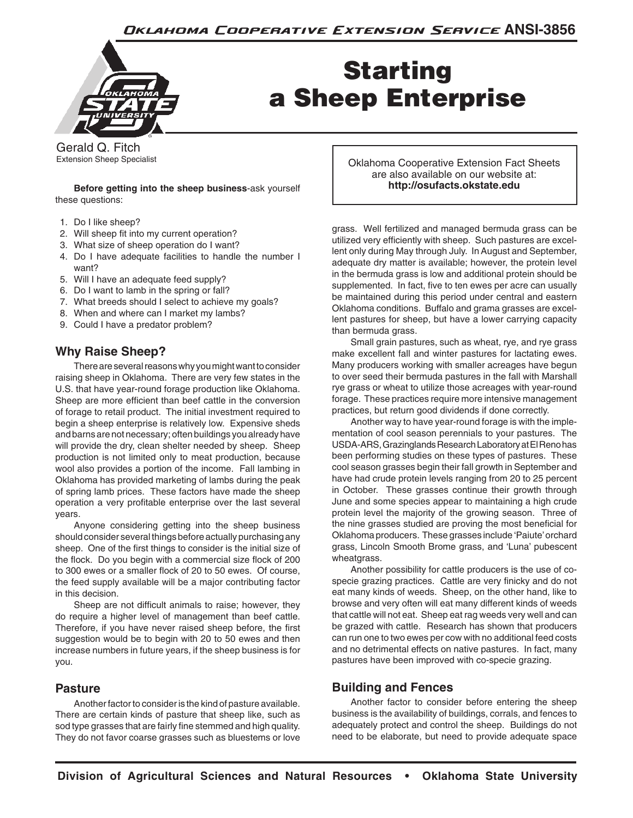Oklahoma Cooperative Extension Service ANSI-3856



# Starting a Sheep Enterprise

Gerald Q. Fitch Extension Sheep Specialist

**Before getting into the sheep business**-ask yourself these questions:

- 1. Do I like sheep?
- 2. Will sheep fit into my current operation?
- 3. What size of sheep operation do I want?
- 4. Do I have adequate facilities to handle the number I want?
- 5. Will I have an adequate feed supply?
- 6. Do I want to lamb in the spring or fall?
- 7. What breeds should I select to achieve my goals?
- 8. When and where can I market my lambs?
- 9. Could I have a predator problem?

# **Why Raise Sheep?**

There are several reasons why you might want to consider raising sheep in Oklahoma. There are very few states in the U.S. that have year-round forage production like Oklahoma. Sheep are more efficient than beef cattle in the conversion of forage to retail product. The initial investment required to begin a sheep enterprise is relatively low. Expensive sheds and barns are not necessary; often buildings you already have will provide the dry, clean shelter needed by sheep. Sheep production is not limited only to meat production, because wool also provides a portion of the income. Fall lambing in Oklahoma has provided marketing of lambs during the peak of spring lamb prices. These factors have made the sheep operation a very profitable enterprise over the last several years.

Anyone considering getting into the sheep business should consider several things before actually purchasing any sheep. One of the first things to consider is the initial size of the flock. Do you begin with a commercial size flock of 200 to 300 ewes or a smaller flock of 20 to 50 ewes. Of course, the feed supply available will be a major contributing factor in this decision.

Sheep are not difficult animals to raise; however, they do require a higher level of management than beef cattle. Therefore, if you have never raised sheep before, the first suggestion would be to begin with 20 to 50 ewes and then increase numbers in future years, if the sheep business is for you.

# **Pasture**

Another factor to consider is the kind of pasture available. There are certain kinds of pasture that sheep like, such as sod type grasses that are fairly fine stemmed and high quality. They do not favor coarse grasses such as bluestems or love Oklahoma Cooperative Extension Fact Sheets are also available on our website at: **http://osufacts.okstate.edu**

grass. Well fertilized and managed bermuda grass can be utilized very efficiently with sheep. Such pastures are excellent only during May through July. In August and September, adequate dry matter is available; however, the protein level in the bermuda grass is low and additional protein should be supplemented. In fact, five to ten ewes per acre can usually be maintained during this period under central and eastern Oklahoma conditions. Buffalo and grama grasses are excellent pastures for sheep, but have a lower carrying capacity than bermuda grass.

Small grain pastures, such as wheat, rye, and rye grass make excellent fall and winter pastures for lactating ewes. Many producers working with smaller acreages have begun to over seed their bermuda pastures in the fall with Marshall rye grass or wheat to utilize those acreages with year-round forage. These practices require more intensive management practices, but return good dividends if done correctly.

Another way to have year-round forage is with the implementation of cool season perennials to your pastures. The USDA-ARS, Grazinglands Research Laboratory at El Reno has been performing studies on these types of pastures. These cool season grasses begin their fall growth in September and have had crude protein levels ranging from 20 to 25 percent in October. These grasses continue their growth through June and some species appear to maintaining a high crude protein level the majority of the growing season. Three of the nine grasses studied are proving the most beneficial for Oklahoma producers. These grasses include 'Paiute' orchard grass, Lincoln Smooth Brome grass, and 'Luna' pubescent wheatgrass.

Another possibility for cattle producers is the use of cospecie grazing practices. Cattle are very finicky and do not eat many kinds of weeds. Sheep, on the other hand, like to browse and very often will eat many different kinds of weeds that cattle will not eat. Sheep eat rag weeds very well and can be grazed with cattle. Research has shown that producers can run one to two ewes per cow with no additional feed costs and no detrimental effects on native pastures. In fact, many pastures have been improved with co-specie grazing.

# **Building and Fences**

Another factor to consider before entering the sheep business is the availability of buildings, corrals, and fences to adequately protect and control the sheep. Buildings do not need to be elaborate, but need to provide adequate space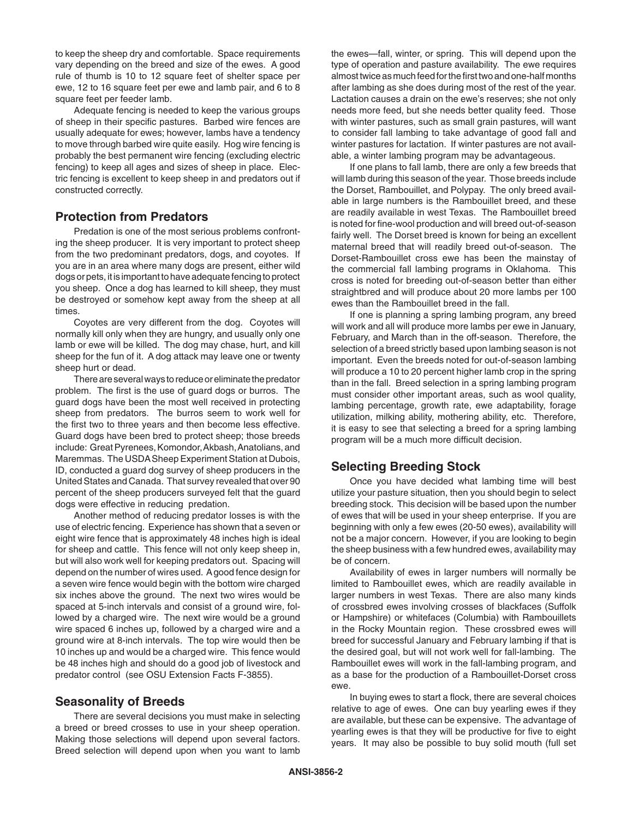to keep the sheep dry and comfortable. Space requirements vary depending on the breed and size of the ewes. A good rule of thumb is 10 to 12 square feet of shelter space per ewe, 12 to 16 square feet per ewe and lamb pair, and 6 to 8 square feet per feeder lamb.

Adequate fencing is needed to keep the various groups of sheep in their specific pastures. Barbed wire fences are usually adequate for ewes; however, lambs have a tendency to move through barbed wire quite easily. Hog wire fencing is probably the best permanent wire fencing (excluding electric fencing) to keep all ages and sizes of sheep in place. Electric fencing is excellent to keep sheep in and predators out if constructed correctly.

#### **Protection from Predators**

Predation is one of the most serious problems confronting the sheep producer. It is very important to protect sheep from the two predominant predators, dogs, and coyotes. If you are in an area where many dogs are present, either wild dogs or pets, it is important to have adequate fencing to protect you sheep. Once a dog has learned to kill sheep, they must be destroyed or somehow kept away from the sheep at all times.

Coyotes are very different from the dog. Coyotes will normally kill only when they are hungry, and usually only one lamb or ewe will be killed. The dog may chase, hurt, and kill sheep for the fun of it. A dog attack may leave one or twenty sheep hurt or dead.

There are several ways to reduce or eliminate the predator problem. The first is the use of guard dogs or burros. The guard dogs have been the most well received in protecting sheep from predators. The burros seem to work well for the first two to three years and then become less effective. Guard dogs have been bred to protect sheep; those breeds include: Great Pyrenees, Komondor, Akbash, Anatolians, and Maremmas. The USDA Sheep Experiment Station at Dubois, ID, conducted a guard dog survey of sheep producers in the United States and Canada. That survey revealed that over 90 percent of the sheep producers surveyed felt that the guard dogs were effective in reducing predation.

Another method of reducing predator losses is with the use of electric fencing. Experience has shown that a seven or eight wire fence that is approximately 48 inches high is ideal for sheep and cattle. This fence will not only keep sheep in, but will also work well for keeping predators out. Spacing will depend on the number of wires used. A good fence design for a seven wire fence would begin with the bottom wire charged six inches above the ground. The next two wires would be spaced at 5-inch intervals and consist of a ground wire, followed by a charged wire. The next wire would be a ground wire spaced 6 inches up, followed by a charged wire and a ground wire at 8-inch intervals. The top wire would then be 10 inches up and would be a charged wire. This fence would be 48 inches high and should do a good job of livestock and predator control (see OSU Extension Facts F-3855).

#### **Seasonality of Breeds**

There are several decisions you must make in selecting a breed or breed crosses to use in your sheep operation. Making those selections will depend upon several factors. Breed selection will depend upon when you want to lamb the ewes—fall, winter, or spring. This will depend upon the type of operation and pasture availability. The ewe requires almost twice as much feed for the first two and one-half months after lambing as she does during most of the rest of the year. Lactation causes a drain on the ewe's reserves; she not only needs more feed, but she needs better quality feed. Those with winter pastures, such as small grain pastures, will want to consider fall lambing to take advantage of good fall and winter pastures for lactation. If winter pastures are not available, a winter lambing program may be advantageous.

If one plans to fall lamb, there are only a few breeds that will lamb during this season of the year. Those breeds include the Dorset, Rambouillet, and Polypay. The only breed available in large numbers is the Rambouillet breed, and these are readily available in west Texas. The Rambouillet breed is noted for fine-wool production and will breed out-of-season fairly well. The Dorset breed is known for being an excellent maternal breed that will readily breed out-of-season. The Dorset-Rambouillet cross ewe has been the mainstay of the commercial fall lambing programs in Oklahoma. This cross is noted for breeding out-of-season better than either straightbred and will produce about 20 more lambs per 100 ewes than the Rambouillet breed in the fall.

If one is planning a spring lambing program, any breed will work and all will produce more lambs per ewe in January, February, and March than in the off-season. Therefore, the selection of a breed strictly based upon lambing season is not important. Even the breeds noted for out-of-season lambing will produce a 10 to 20 percent higher lamb crop in the spring than in the fall. Breed selection in a spring lambing program must consider other important areas, such as wool quality, lambing percentage, growth rate, ewe adaptability, forage utilization, milking ability, mothering ability, etc. Therefore, it is easy to see that selecting a breed for a spring lambing program will be a much more difficult decision.

#### **Selecting Breeding Stock**

Once you have decided what lambing time will best utilize your pasture situation, then you should begin to select breeding stock. This decision will be based upon the number of ewes that will be used in your sheep enterprise. If you are beginning with only a few ewes (20-50 ewes), availability will not be a major concern. However, if you are looking to begin the sheep business with a few hundred ewes, availability may be of concern.

Availability of ewes in larger numbers will normally be limited to Rambouillet ewes, which are readily available in larger numbers in west Texas. There are also many kinds of crossbred ewes involving crosses of blackfaces (Suffolk or Hampshire) or whitefaces (Columbia) with Rambouillets in the Rocky Mountain region. These crossbred ewes will breed for successful January and February lambing if that is the desired goal, but will not work well for fall-lambing. The Rambouillet ewes will work in the fall-lambing program, and as a base for the production of a Rambouillet-Dorset cross ewe.

In buying ewes to start a flock, there are several choices relative to age of ewes. One can buy yearling ewes if they are available, but these can be expensive. The advantage of yearling ewes is that they will be productive for five to eight years. It may also be possible to buy solid mouth (full set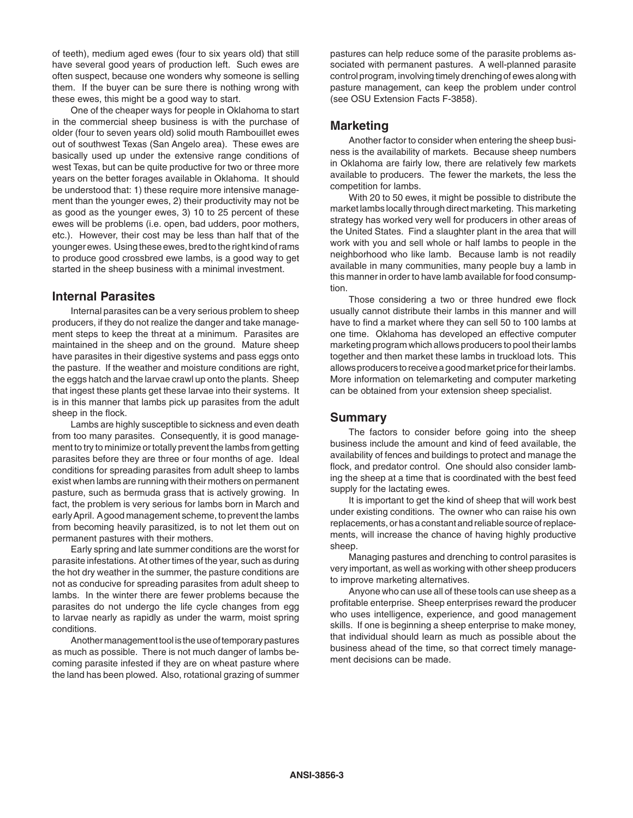of teeth), medium aged ewes (four to six years old) that still have several good years of production left. Such ewes are often suspect, because one wonders why someone is selling them. If the buyer can be sure there is nothing wrong with these ewes, this might be a good way to start.

One of the cheaper ways for people in Oklahoma to start in the commercial sheep business is with the purchase of older (four to seven years old) solid mouth Rambouillet ewes out of southwest Texas (San Angelo area). These ewes are basically used up under the extensive range conditions of west Texas, but can be quite productive for two or three more years on the better forages available in Oklahoma. It should be understood that: 1) these require more intensive management than the younger ewes, 2) their productivity may not be as good as the younger ewes, 3) 10 to 25 percent of these ewes will be problems (i.e. open, bad udders, poor mothers, etc.). However, their cost may be less than half that of the younger ewes. Using these ewes, bred to the right kind of rams to produce good crossbred ewe lambs, is a good way to get started in the sheep business with a minimal investment.

#### **Internal Parasites**

Internal parasites can be a very serious problem to sheep producers, if they do not realize the danger and take management steps to keep the threat at a minimum. Parasites are maintained in the sheep and on the ground. Mature sheep have parasites in their digestive systems and pass eggs onto the pasture. If the weather and moisture conditions are right, the eggs hatch and the larvae crawl up onto the plants. Sheep that ingest these plants get these larvae into their systems. It is in this manner that lambs pick up parasites from the adult sheep in the flock.

Lambs are highly susceptible to sickness and even death from too many parasites. Consequently, it is good management to try to minimize or totally prevent the lambs from getting parasites before they are three or four months of age. Ideal conditions for spreading parasites from adult sheep to lambs exist when lambs are running with their mothers on permanent pasture, such as bermuda grass that is actively growing. In fact, the problem is very serious for lambs born in March and early April. A good management scheme, to prevent the lambs from becoming heavily parasitized, is to not let them out on permanent pastures with their mothers.

Early spring and late summer conditions are the worst for parasite infestations. At other times of the year, such as during the hot dry weather in the summer, the pasture conditions are not as conducive for spreading parasites from adult sheep to lambs. In the winter there are fewer problems because the parasites do not undergo the life cycle changes from egg to larvae nearly as rapidly as under the warm, moist spring conditions.

Another management tool is the use of temporary pastures as much as possible. There is not much danger of lambs becoming parasite infested if they are on wheat pasture where the land has been plowed. Also, rotational grazing of summer

pastures can help reduce some of the parasite problems associated with permanent pastures. A well-planned parasite control program, involving timely drenching of ewes along with pasture management, can keep the problem under control (see OSU Extension Facts F-3858).

### **Marketing**

Another factor to consider when entering the sheep business is the availability of markets. Because sheep numbers in Oklahoma are fairly low, there are relatively few markets available to producers. The fewer the markets, the less the competition for lambs.

With 20 to 50 ewes, it might be possible to distribute the market lambs locally through direct marketing. This marketing strategy has worked very well for producers in other areas of the United States. Find a slaughter plant in the area that will work with you and sell whole or half lambs to people in the neighborhood who like lamb. Because lamb is not readily available in many communities, many people buy a lamb in this manner in order to have lamb available for food consumption.

Those considering a two or three hundred ewe flock usually cannot distribute their lambs in this manner and will have to find a market where they can sell 50 to 100 lambs at one time. Oklahoma has developed an effective computer marketing program which allows producers to pool their lambs together and then market these lambs in truckload lots. This allows producers to receive a good market price for their lambs. More information on telemarketing and computer marketing can be obtained from your extension sheep specialist.

#### **Summary**

The factors to consider before going into the sheep business include the amount and kind of feed available, the availability of fences and buildings to protect and manage the flock, and predator control. One should also consider lambing the sheep at a time that is coordinated with the best feed supply for the lactating ewes.

It is important to get the kind of sheep that will work best under existing conditions. The owner who can raise his own replacements, or has a constant and reliable source of replacements, will increase the chance of having highly productive sheep.

Managing pastures and drenching to control parasites is very important, as well as working with other sheep producers to improve marketing alternatives.

Anyone who can use all of these tools can use sheep as a profitable enterprise. Sheep enterprises reward the producer who uses intelligence, experience, and good management skills. If one is beginning a sheep enterprise to make money, that individual should learn as much as possible about the business ahead of the time, so that correct timely management decisions can be made.